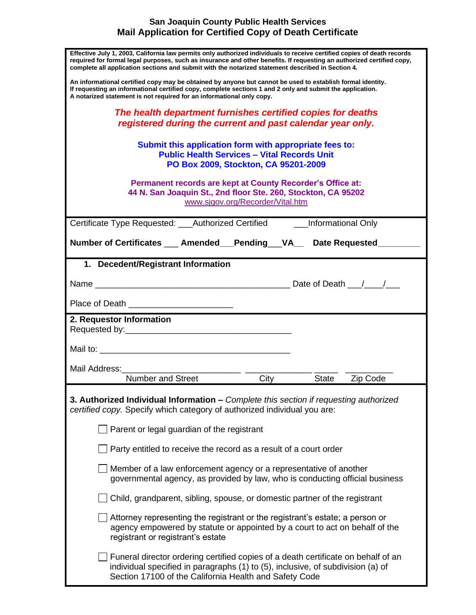## **San Joaquin County Public Health Services Mail Application for Certified Copy of Death Certificate**

| Effective July 1, 2003, California law permits only authorized individuals to receive certified copies of death records<br>required for formal legal purposes, such as insurance and other benefits. If requesting an authorized certified copy,<br>complete all application sections and submit with the notarized statement described in Section 4. |
|-------------------------------------------------------------------------------------------------------------------------------------------------------------------------------------------------------------------------------------------------------------------------------------------------------------------------------------------------------|
| An informational certified copy may be obtained by anyone but cannot be used to establish formal identity.<br>If requesting an informational certified copy, complete sections 1 and 2 only and submit the application.<br>A notarized statement is not required for an informational only copy.                                                      |
| The health department furnishes certified copies for deaths                                                                                                                                                                                                                                                                                           |
| registered during the current and past calendar year only.                                                                                                                                                                                                                                                                                            |
| Submit this application form with appropriate fees to:                                                                                                                                                                                                                                                                                                |
| <b>Public Health Services - Vital Records Unit</b>                                                                                                                                                                                                                                                                                                    |
| PO Box 2009, Stockton, CA 95201-2009                                                                                                                                                                                                                                                                                                                  |
| Permanent records are kept at County Recorder's Office at:<br>44 N. San Joaquin St., 2nd floor Ste. 260, Stockton, CA 95202<br>www.sjgov.org/Recorder/Vital.htm                                                                                                                                                                                       |
| Certificate Type Requested: ___Authorized Certified _______Informational Only                                                                                                                                                                                                                                                                         |
| Number of Certificates __ Amended __ Pending __ VA__ Date Requested                                                                                                                                                                                                                                                                                   |
|                                                                                                                                                                                                                                                                                                                                                       |
| 1. Decedent/Registrant Information                                                                                                                                                                                                                                                                                                                    |
|                                                                                                                                                                                                                                                                                                                                                       |
|                                                                                                                                                                                                                                                                                                                                                       |
| 2. Requestor Information                                                                                                                                                                                                                                                                                                                              |
|                                                                                                                                                                                                                                                                                                                                                       |
|                                                                                                                                                                                                                                                                                                                                                       |
| Mail Address:                                                                                                                                                                                                                                                                                                                                         |
| Number and Street<br>City<br>State<br>Zip Code                                                                                                                                                                                                                                                                                                        |
| 3. Authorized Individual Information - Complete this section if requesting authorized<br>certified copy. Specify which category of authorized individual you are:                                                                                                                                                                                     |
| Parent or legal guardian of the registrant                                                                                                                                                                                                                                                                                                            |
| Party entitled to receive the record as a result of a court order                                                                                                                                                                                                                                                                                     |
| Member of a law enforcement agency or a representative of another<br>governmental agency, as provided by law, who is conducting official business                                                                                                                                                                                                     |
| Child, grandparent, sibling, spouse, or domestic partner of the registrant                                                                                                                                                                                                                                                                            |
| Attorney representing the registrant or the registrant's estate; a person or<br>agency empowered by statute or appointed by a court to act on behalf of the<br>registrant or registrant's estate                                                                                                                                                      |
| ∫ Funeral director ordering certified copies of a death certificate on behalf of an<br>individual specified in paragraphs (1) to (5), inclusive, of subdivision (a) of<br>Section 17100 of the California Health and Safety Code                                                                                                                      |